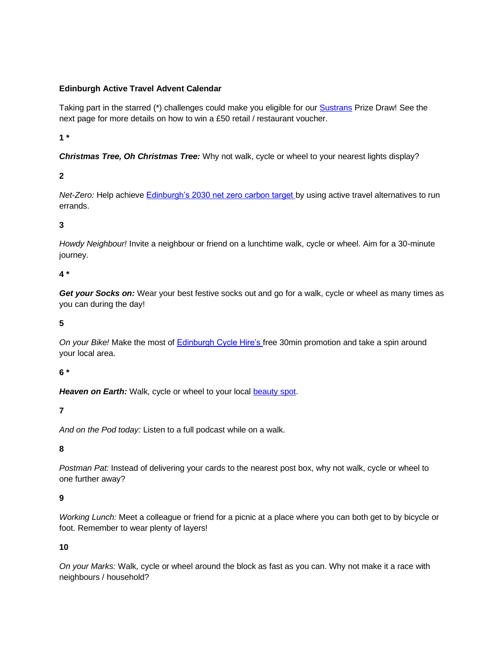#### **Edinburgh Active Travel Advent Calendar**

Taking part in the starred (\*) challenges could make you eligible for our **Sustrans** Prize Draw! See the next page for more details on how to win a £50 retail / restaurant voucher.

**1 \*** 

*Christmas Tree, Oh Christmas Tree:* Why not walk, cycle or wheel to your nearest lights display?

## **2**

*Net-Zero:* Help achieve **Edinburgh's 2030 net zero carbon target** by using active travel alternatives to run errands.

#### **3**

*Howdy Neighbour!* Invite a neighbour or friend on a lunchtime walk, cycle or wheel. Aim for a 30-minute journey.

#### **4 \***

*Get your Socks on:* Wear your best festive socks out and go for a walk, cycle or wheel as many times as you can during the day!

#### **5**

*On your Bike!* Make the most of [Edinburgh Cycle Hire's f](https://edinburghcyclehire.com/)ree 30min promotion and take a spin around your local area.

#### **6 \***

Heaven on Earth: Walk, cycle or wheel to your local **beauty spot.** 

## **7**

*And on the Pod today:* Listen to a full podcast while on a walk.

#### **8**

*Postman Pat:* Instead of delivering your cards to the nearest post box, why not walk, cycle or wheel to one further away?

#### **9**

*Working Lunch:* Meet a colleague or friend for a picnic at a place where you can both get to by bicycle or foot. Remember to wear plenty of layers!

#### **10**

*On your Marks:* Walk, cycle or wheel around the block as fast as you can. Why not make it a race with neighbours / household?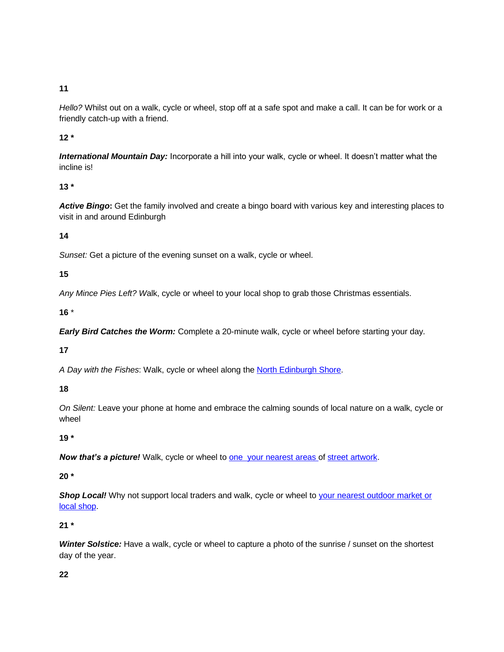**11** 

*Hello?* Whilst out on a walk, cycle or wheel, stop off at a safe spot and make a call. It can be for work or a friendly catch-up with a friend.

**12 \*** 

*International Mountain Day:* Incorporate a hill into your walk, cycle or wheel. It doesn't matter what the incline is!

## **13 \***

*Active Bingo***:** Get the family involved and create a bingo board with various key and interesting places to visit in and around Edinburgh

## **14**

*Sunset:* Get a picture of the evening sunset on a walk, cycle or wheel.

## **15**

*Any Mince Pies Left? W*alk, cycle or wheel to your local shop to grab those Christmas essentials.

## **16** \*

*Early Bird Catches the Worm:* Complete a 20-minute walk, cycle or wheel before starting your day.

## **17**

*A Day with the Fishes*: Walk, cycle or wheel along the [North Edinburgh Shore.](https://madelviccommunity.files.wordpress.com/2017/04/granton-hub-shoreline-walk.pdf)

## **18**

*On Silent:* Leave your phone at home and embrace the calming sounds of local nature on a walk, cycle or wheel

# **19 \***

**Now that's a picture!** Walk, cycle or wheel to **one your nearest areas of street artwork**.

## **20 \***

**Shop Local!** Why not support local traders and walk, cycle or wheel to your nearest outdoor market or [local shop.](http://www.edinburghschristmas.com/pages/neighbourhood-market)

## **21 \***

*Winter Solstice:* Have a walk, cycle or wheel to capture a photo of the sunrise / sunset on the shortest day of the year.

# **22**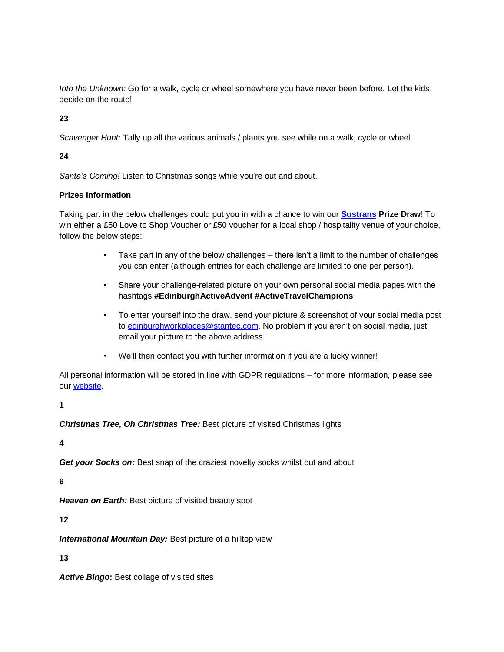*Into the Unknown:* Go for a walk, cycle or wheel somewhere you have never been before. Let the kids decide on the route!

**23**

*Scavenger Hunt:* Tally up all the various animals / plants you see while on a walk, cycle or wheel.

#### **24**

*Santa's Coming!* Listen to Christmas songs while you're out and about.

#### **Prizes Information**

Taking part in the below challenges could put you in with a chance to win our **[Sustrans](https://www.sustrans.org.uk/about-us/our-work-in-scotland/) Prize Draw**! To win either a £50 Love to Shop Voucher or £50 voucher for a local shop / hospitality venue of your choice, follow the below steps:

- Take part in any of the below challenges there isn't a limit to the number of challenges you can enter (although entries for each challenge are limited to one per person).
- Share your challenge-related picture on your own personal social media pages with the hashtags **#EdinburghActiveAdvent #ActiveTravelChampions**
- To enter yourself into the draw, send your picture & screenshot of your social media post to [edinburghworkplaces@stantec.com.](mailto:edinburghworkplaces@stantec.com) No problem if you aren't on social media, just email your picture to the above address.
- We'll then contact you with further information if you are a lucky winner!

All personal information will be stored in line with GDPR regulations – for more information, please see our [website.](file://///corpad.corp.edinburgh.gov.uk/departments/Corp/commsrve/Business%20Areas/Place/12%20TRANSPORT/On%20foot%20by%20bike/Campaigns/Active%20Advent%20calendar/edinburgh.gov.uk/edinburghactiveadvent)

#### **1**

*Christmas Tree, Oh Christmas Tree:* Best picture of visited Christmas lights

# **4**

*Get your Socks on:* Best snap of the craziest novelty socks whilst out and about

## **6**

*Heaven on Earth:* Best picture of visited beauty spot

**12**

*International Mountain Day:* Best picture of a hilltop view

## **13**

Active Bingo: Best collage of visited sites